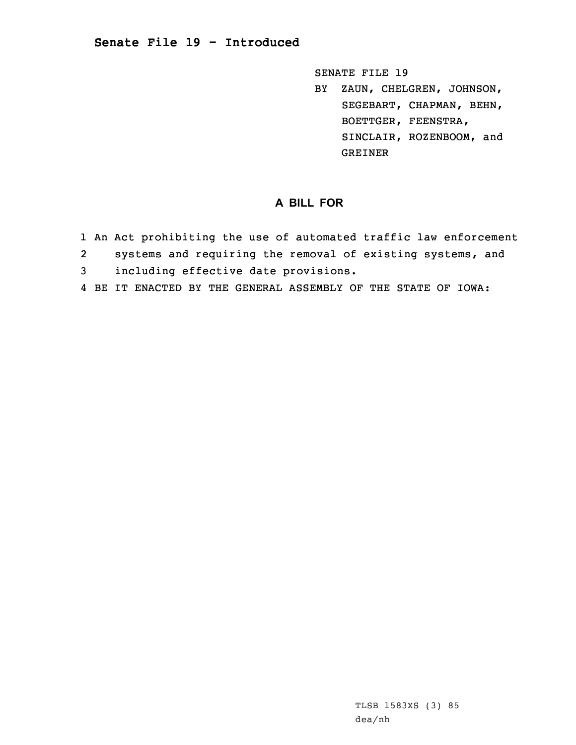## **Senate File 19 - Introduced**

SENATE FILE 19

BY ZAUN, CHELGREN, JOHNSON, SEGEBART, CHAPMAN, BEHN, BOETTGER, FEENSTRA, SINCLAIR, ROZENBOOM, and GREINER

## **A BILL FOR**

- 1 An Act prohibiting the use of automated traffic law enforcement
- 2systems and requiring the removal of existing systems, and
- 3 including effective date provisions.
- 4 BE IT ENACTED BY THE GENERAL ASSEMBLY OF THE STATE OF IOWA: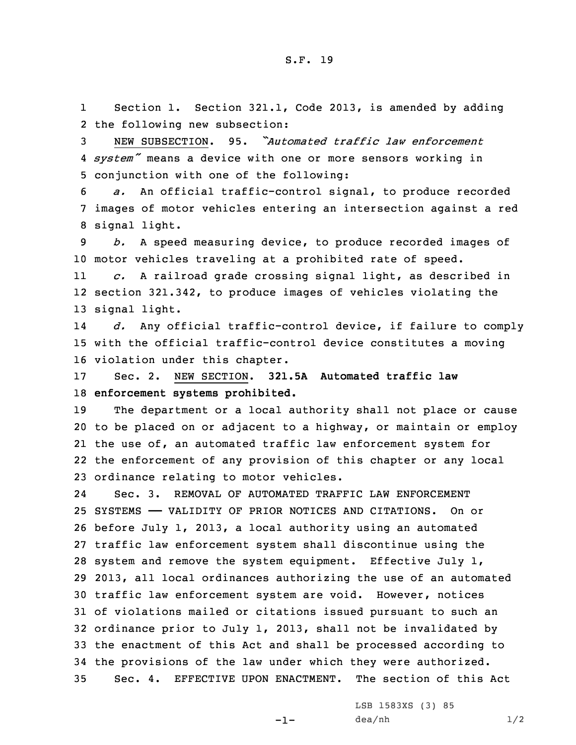1 Section 1. Section 321.1, Code 2013, is amended by adding 2 the following new subsection:

3 NEW SUBSECTION. 95. *"Automated traffic law enforcement* 4 *system"* means <sup>a</sup> device with one or more sensors working in 5 conjunction with one of the following:

6 *a.* An official traffic-control signal, to produce recorded 7 images of motor vehicles entering an intersection against <sup>a</sup> red 8 signal light.

9 *b.* <sup>A</sup> speed measuring device, to produce recorded images of 10 motor vehicles traveling at <sup>a</sup> prohibited rate of speed.

11 *c.* <sup>A</sup> railroad grade crossing signal light, as described in 12 section 321.342, to produce images of vehicles violating the 13 signal light.

14 *d.* Any official traffic-control device, if failure to comply 15 with the official traffic-control device constitutes <sup>a</sup> moving 16 violation under this chapter.

17 Sec. 2. NEW SECTION. **321.5A Automated traffic law** 18 **enforcement systems prohibited.**

 The department or <sup>a</sup> local authority shall not place or cause to be placed on or adjacent to <sup>a</sup> highway, or maintain or employ the use of, an automated traffic law enforcement system for the enforcement of any provision of this chapter or any local ordinance relating to motor vehicles.

24 Sec. 3. REMOVAL OF AUTOMATED TRAFFIC LAW ENFORCEMENT SYSTEMS —— VALIDITY OF PRIOR NOTICES AND CITATIONS. On or before July 1, 2013, <sup>a</sup> local authority using an automated traffic law enforcement system shall discontinue using the system and remove the system equipment. Effective July 1, 2013, all local ordinances authorizing the use of an automated traffic law enforcement system are void. However, notices of violations mailed or citations issued pursuant to such an ordinance prior to July 1, 2013, shall not be invalidated by the enactment of this Act and shall be processed according to the provisions of the law under which they were authorized. Sec. 4. EFFECTIVE UPON ENACTMENT. The section of this Act

 $-1-$ 

LSB 1583XS (3) 85  $dea/nh$  1/2